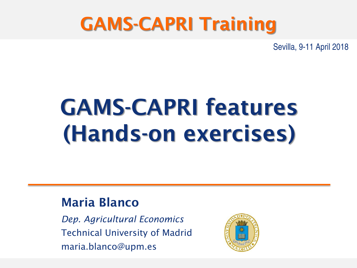### GAMS-CAPRI Training

Sevilla, 9-11 April 2018

## GAMS-CAPRI features (Hands-on exercises)

#### Maria Blanco

*Dep. Agricultural Economics* Technical University of Madrid maria.blanco@upm.es

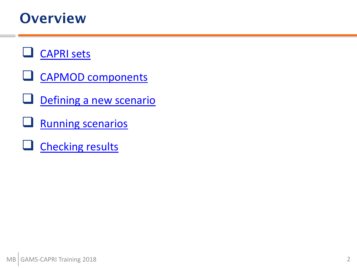#### **Overview**

#### **[CAPRI sets](#page-2-0)**

- **Q** [CAPMOD components](#page-6-0)
- [Defining a new scenario](#page-10-0)
- [Running scenarios](#page-12-0)
- $\Box$  [Checking results](#page-15-0)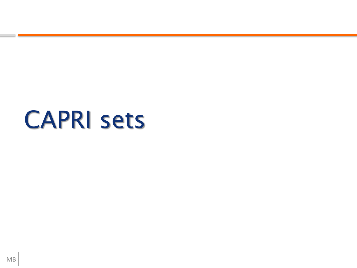### <span id="page-2-0"></span>CAPRI sets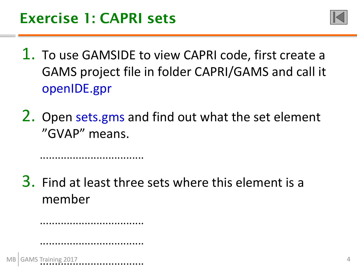...................................



- 1. To use GAMSIDE to view CAPRI code, first create a GAMS project file in folder CAPRI/GAMS and call it openIDE.gpr
- 2. Open sets.gms and find out what the set element "GVAP" means.

3. Find at least three sets where this element is a member

MB ................................... ng 2017

...................................

...................................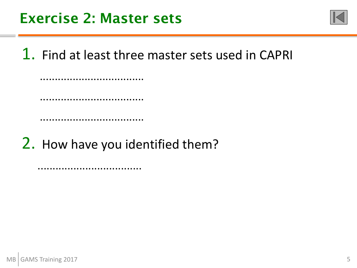

1. Find at least three master sets used in CAPRI

................................... ...................................

...................................

2. How have you identified them?

...................................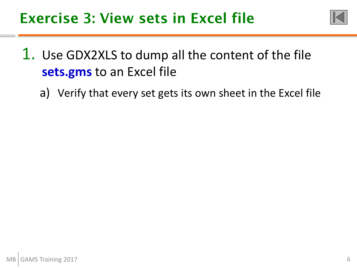

### 1. Use GDX2XLS to dump all the content of the file **sets.gms** to an Excel file

a) Verify that every set gets its own sheet in the Excel file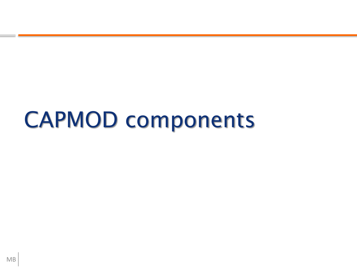### <span id="page-6-0"></span>CAPMOD components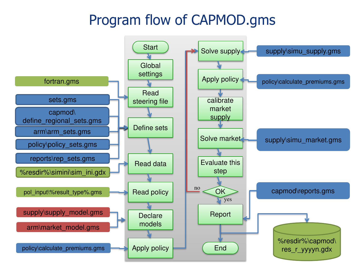### Program flow of CAPMOD.gms

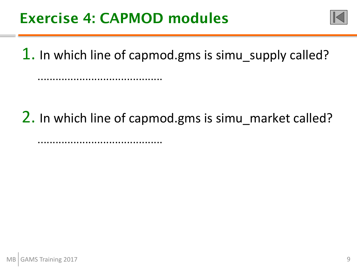..........................................

..........................................



1. In which line of capmod.gms is simu\_supply called?

2. In which line of capmod.gms is simu market called?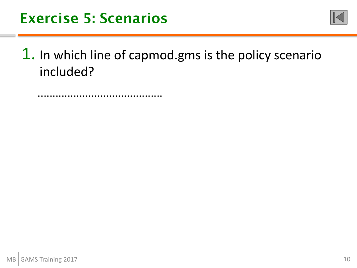

1. In which line of capmod.gms is the policy scenario included?

..........................................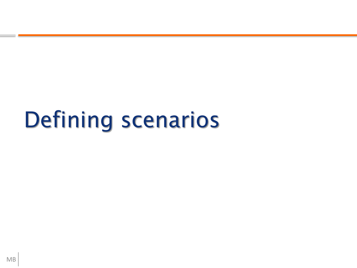## <span id="page-10-0"></span>Defining scenarios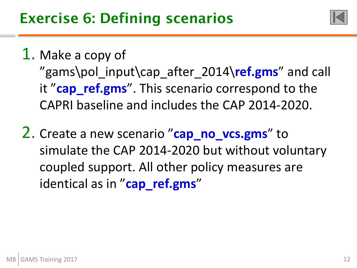

#### 1. Make a copy of

"gams\pol\_input\cap\_after\_2014\**ref.gms**" and call it "cap ref.gms". This scenario correspond to the CAPRI baseline and includes the CAP 2014-2020.

2. Create a new scenario "**cap\_no\_vcs.gms**" to simulate the CAP 2014-2020 but without voluntary coupled support. All other policy measures are identical as in "**cap\_ref.gms**"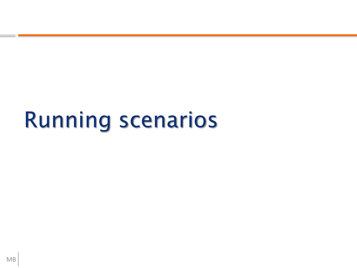### <span id="page-12-0"></span>Running scenarios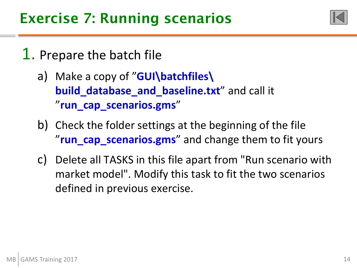

#### 1. Prepare the batch file

- a) Make a copy of "**GUI\batchfiles\ build\_database\_and\_baseline.txt**" and call it "**run\_cap\_scenarios.gms**"
- b) Check the folder settings at the beginning of the file "run cap scenarios.gms" and change them to fit yours
- c) Delete all TASKS in this file apart from "Run scenario with market model". Modify this task to fit the two scenarios defined in previous exercise.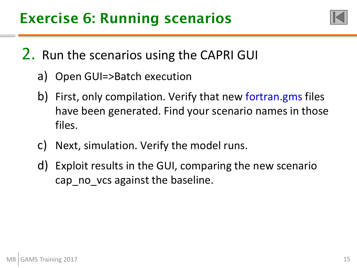

2. Run the scenarios using the CAPRI GUI

- a) Open GUI=>Batch execution
- b) First, only compilation. Verify that new fortran.gms files have been generated. Find your scenario names in those files.
- c) Next, simulation. Verify the model runs.
- d) Exploit results in the GUI, comparing the new scenario cap no vcs against the baseline.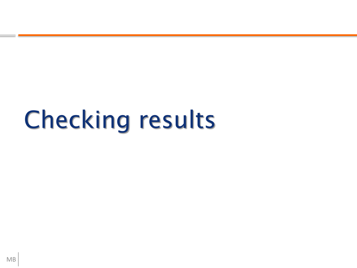# <span id="page-15-0"></span>Checking results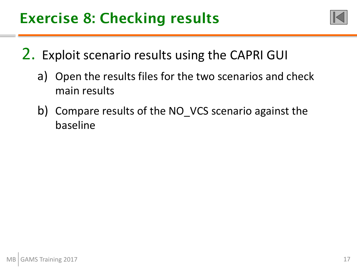

- 2. Exploit scenario results using the CAPRI GUI
	- a) Open the results files for the two scenarios and check main results
	- b) Compare results of the NO VCS scenario against the baseline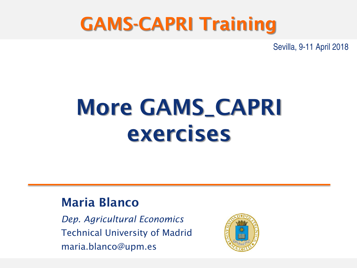### GAMS-CAPRI Training

Sevilla, 9-11 April 2018

### More GAMS\_CAPRI exercises

#### Maria Blanco

*Dep. Agricultural Economics* Technical University of Madrid maria.blanco@upm.es

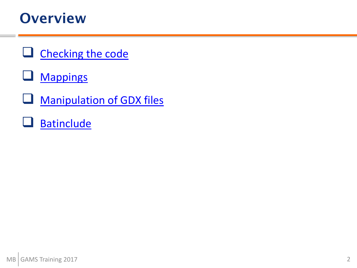#### **Overview**

- $\Box$  [Checking the code](#page-19-0)
- **Q** [Mappings](#page-22-0)
- **U** [Manipulation of GDX files](#page-25-0)
- **[Batinclude](#page-29-0)**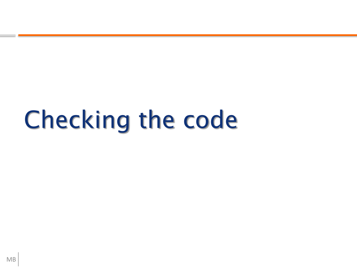## <span id="page-19-0"></span>Checking the code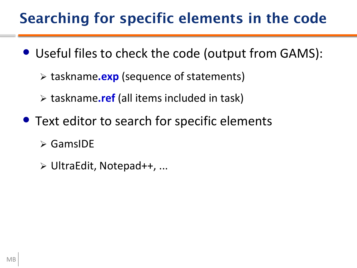### Searching for specific elements in the code

- Useful files to check the code (output from GAMS):
	- taskname**.exp** (sequence of statements)
	- taskname**.ref** (all items included in task)
- Text editor to search for specific elements
	- GamsIDE
	- UltraEdit, Notepad++, ...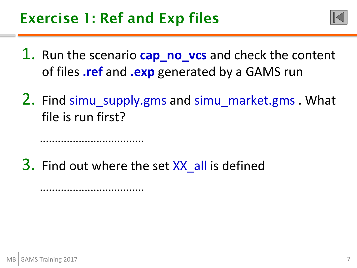...................................

...................................



- 1. Run the scenario **cap\_no\_vcs** and check the content of files **.ref** and **.exp** generated by a GAMS run
- 2. Find simu supply.gms and simu\_market.gms . What file is run first?

3. Find out where the set XX all is defined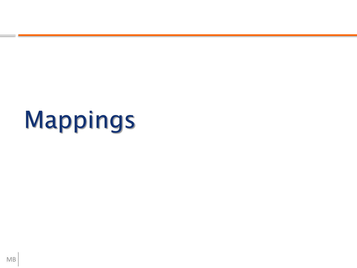# <span id="page-22-0"></span>Mappings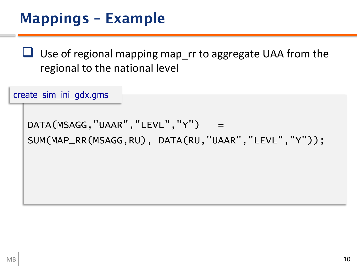Use of regional mapping map\_rr to aggregate UAA from the regional to the national level

create\_sim\_ini\_gdx.gms

DATA(MSAGG, "UAAR", "LEVL", "Y") = SUM(MAP\_RR(MSAGG,RU), DATA(RU,"UAAR","LEVL","Y"));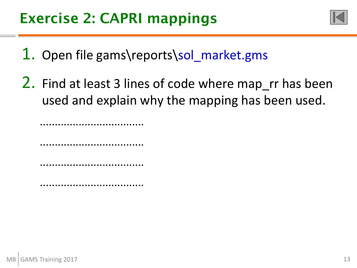

- 1. Open file gams\reports\sol\_market.gms
- 2. Find at least 3 lines of code where map\_rr has been used and explain why the mapping has been used.

................................... ................................... ...................................

...................................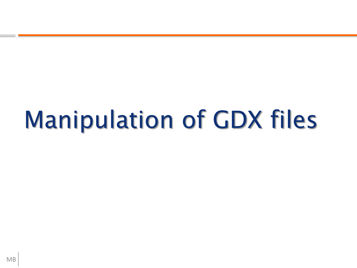# <span id="page-25-0"></span>Manipulation of GDX files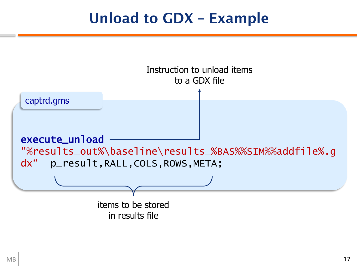#### Unload to GDX – Example

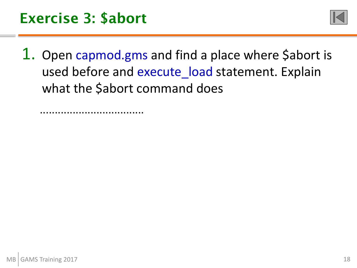

1. Open capmod.gms and find a place where Sabort is used before and execute\_load statement. Explain what the \$abort command does

...................................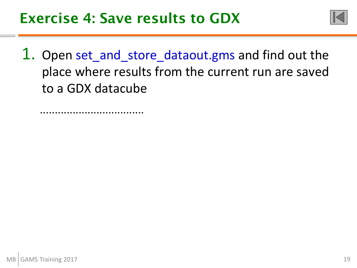

1. Open set\_and\_store\_dataout.gms and find out the place where results from the current run are saved to a GDX datacube

...................................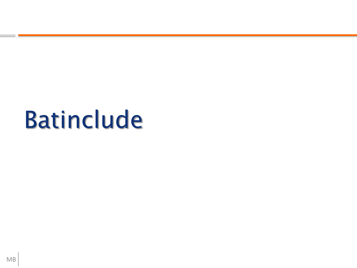## <span id="page-29-0"></span>Batinclude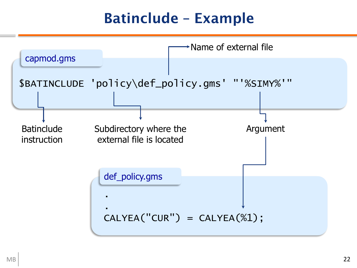### Batinclude – Example